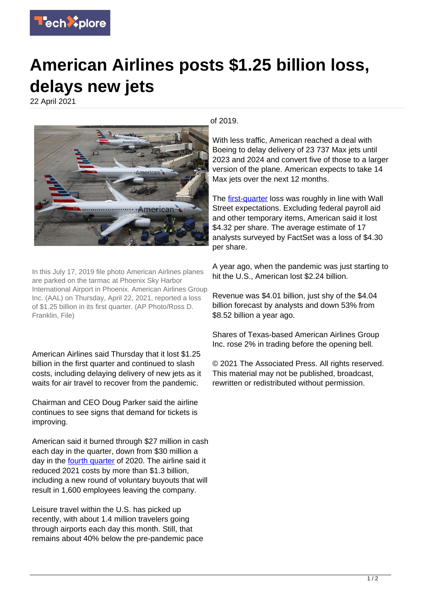

## **American Airlines posts \$1.25 billion loss, delays new jets**

22 April 2021



In this July 17, 2019 file photo American Airlines planes are parked on the tarmac at Phoenix Sky Harbor International Airport in Phoenix. American Airlines Group Inc. (AAL) on Thursday, April 22, 2021, reported a loss of \$1.25 billion in its first quarter. (AP Photo/Ross D. Franklin, File)

American Airlines said Thursday that it lost \$1.25 billion in the first quarter and continued to slash costs, including delaying delivery of new jets as it waits for air travel to recover from the pandemic.

Chairman and CEO Doug Parker said the airline continues to see signs that demand for tickets is improving.

American said it burned through \$27 million in cash each day in the quarter, down from \$30 million a day in the **fourth quarter** of 2020. The airline said it reduced 2021 costs by more than \$1.3 billion, including a new round of voluntary buyouts that will result in 1,600 employees leaving the company.

Leisure travel within the U.S. has picked up recently, with about 1.4 million travelers going through airports each day this month. Still, that remains about 40% below the pre-pandemic pace of 2019.

With less traffic, American reached a deal with Boeing to delay delivery of 23 737 Max jets until 2023 and 2024 and convert five of those to a larger version of the plane. American expects to take 14 Max jets over the next 12 months.

The [first-quarter](https://techxplore.com/tags/first+quarter/) loss was roughly in line with Wall Street expectations. Excluding federal payroll aid and other temporary items, American said it lost \$4.32 per share. The average estimate of 17 analysts surveyed by FactSet was a loss of \$4.30 per share.

A year ago, when the pandemic was just starting to hit the U.S., American lost \$2.24 billion.

Revenue was \$4.01 billion, just shy of the \$4.04 billion forecast by analysts and down 53% from \$8.52 billion a year ago.

Shares of Texas-based American Airlines Group Inc. rose 2% in trading before the opening bell.

© 2021 The Associated Press. All rights reserved. This material may not be published, broadcast, rewritten or redistributed without permission.